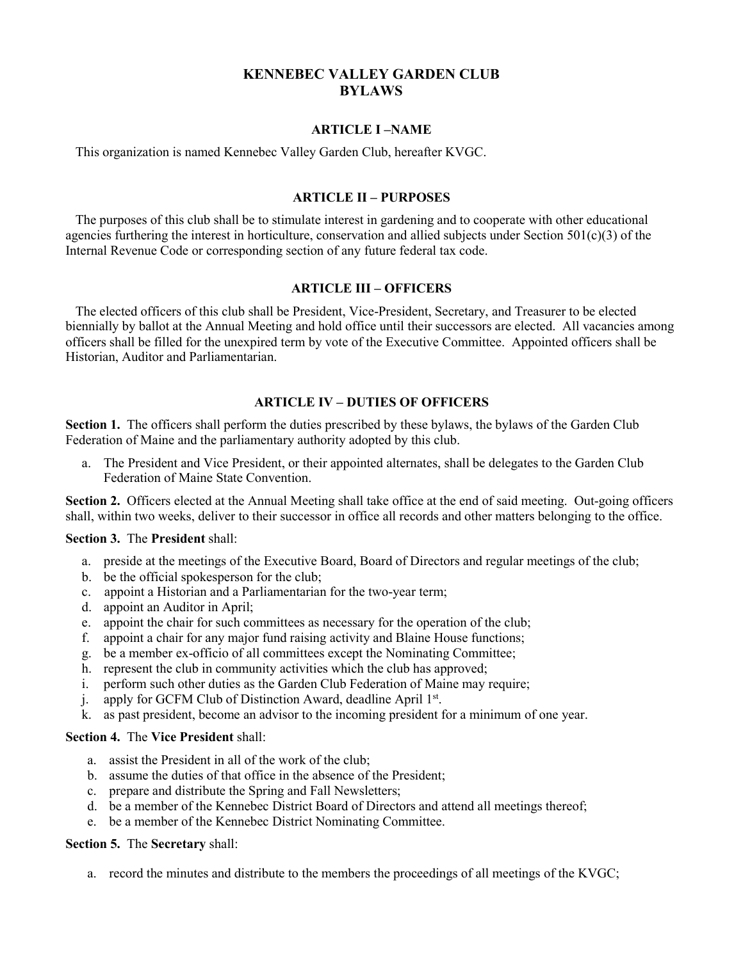# **KENNEBEC VALLEY GARDEN CLUB BYLAWS**

#### **ARTICLE I –NAME**

This organization is named Kennebec Valley Garden Club, hereafter KVGC.

# **ARTICLE II – PURPOSES**

The purposes of this club shall be to stimulate interest in gardening and to cooperate with other educational agencies furthering the interest in horticulture, conservation and allied subjects under Section  $501(c)(3)$  of the Internal Revenue Code or corresponding section of any future federal tax code.

### **ARTICLE III – OFFICERS**

The elected officers ofthis club shall be President, Vice-President, Secretary, and Treasurer to be elected biennially by ballot at the Annual Meeting and hold office until their successors are elected. All vacancies among officers shallbe filled for the unexpired term by vote of the Executive Committee. Appointed officers shallbe Historian, Auditor and Parliamentarian.

### **ARTICLE IV – DUTIES OF OFFICERS**

**Section 1.** The officers shall perform the duties prescribed by these bylaws, the bylaws of the Garden Club Federation of Maine and the parliamentary authority adopted by this club.

a. The President and Vice President, or their appointed alternates, shall be delegates to the Garden Club Federation of Maine State Convention.

**Section 2.** Officers elected at the Annual Meeting shall take office at the end of said meeting. Out-going officers shall, within two weeks, deliver to their successor in office all records and other matters belonging to the office.

#### **Section 3.** The **President** shall:

- a. preside at the meetings of the Executive Board, Board of Directors and regular meetings of the club;
- b. be the official spokesperson for the club;
- c. appoint a Historian and a Parliamentarian for the two-year term;
- d. appoint an Auditor in April;
- e. appoint the chair for such committees as necessary for the operation of the club;
- f. appoint a chair for any major fund raising activity and Blaine House functions;
- g. be a member ex-officio of all committees except the Nominating Committee;
- h. represent the club in community activities which the club has approved;
- i. perform such other duties as the Garden Club Federation of Maine may require;
- j. apply for GCFM Club of Distinction Award, deadline April 1 st.
- k. as past president, become an advisor to the incoming president for a minimum of one year.

#### **Section 4.** The **Vice President** shall:

- a. assist the President in all of the work of the club;
- b. assume the duties of that office in the absence of the President;
- c. prepare and distribute the Spring and Fall Newsletters;
- d. be a member of the Kennebec District Board of Directors and attend all meetings thereof;
- e. be a member of the Kennebec District Nominating Committee.

#### **Section 5.** The **Secretary** shall:

a. record the minutes and distribute to the members the proceedings of all meetings of the KVGC;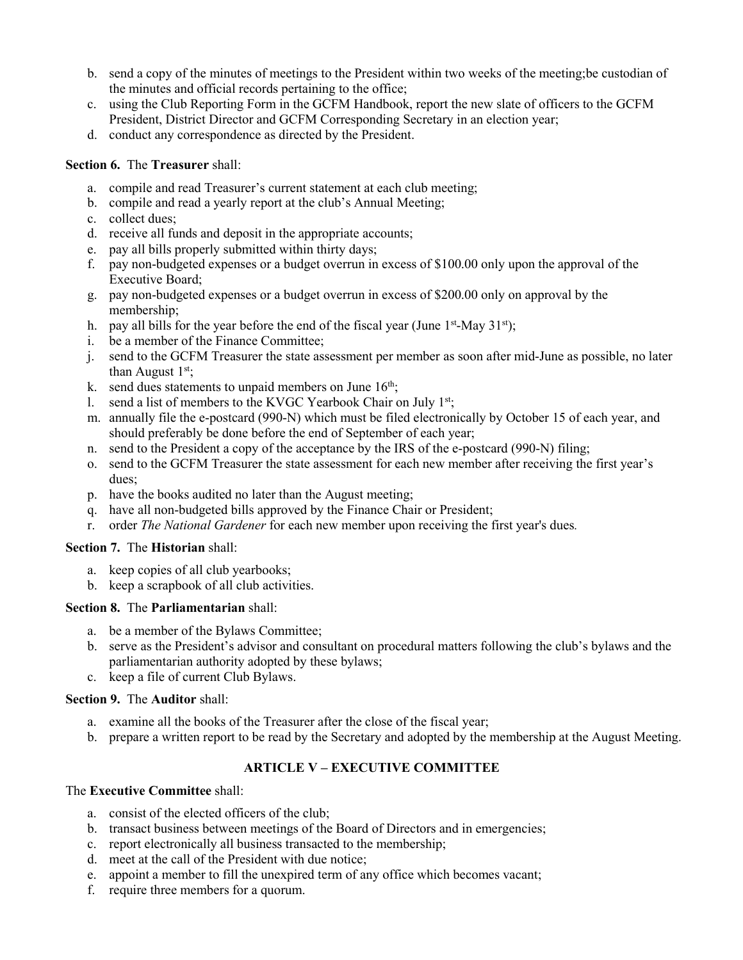- b. send a copy of the minutes of meetings to the President within two weeks of the meeting; be custodian of the minutes and official records pertaining to the office;
- c. using the Club Reporting Form in the GCFM Handbook, report the new slate of officers to the GCFM President, District Director and GCFM Corresponding Secretary in an election year;
- d. conduct any correspondence as directed by the President.

# **Section 6.** The **Treasurer** shall:

- a. compile and read Treasurer's current statement at each club meeting;
- b. compile and read a yearly report at the club's Annual Meeting;
- c. collect dues;
- d. receive all funds and deposit in the appropriate accounts;
- e. pay all bills properly submitted within thirty days;
- f. pay non-budgeted expenses ora budget overrun in excess of\$100.00 only upon the approval of the Executive Board;
- g. pay non-budgeted expenses ora budget overrun in excess of\$200.00 only on approval by the membership;
- h. pay all bills for the year before the end of the fiscal year (June 1<sup>st</sup>-May 31<sup>st</sup>);
- i. be a member of the Finance Committee;
- j. send to the GCFM Treasurer the state assessment per member as soon after mid-June aspossible, no later than August  $1<sup>st</sup>$ ;
- k. send dues statements to unpaid members on June 16<sup>th</sup>; ;
- 1. send a list of members to the KVGC Yearbook Chair on July 1<sup>st</sup>;
- m. annually file the e-postcard (990-N) which must be filed electronically by October 15 of each year, and should preferably be done before the end of September of each year;
- n. send to the President a copy of the acceptance by the IRS of the e-postcard (990-N) filing;
- o. send to the GCFM Treasurer the state assessment for each new member after receiving the first year's dues;
- p. have the books audited no later than the August meeting;
- q. have all non-budgeted bills approved by the Finance Chair or President;
- r. order *The National Gardener* for each new member upon receiving the first year's dues*.*

# **Section 7.** The **Historian** shall:

- a. keep copies of all club yearbooks;
- b. keep a scrapbook of all club activities.

# **Section 8.** The **Parliamentarian** shall:

- a. be a member of the Bylaws Committee;
- b. serve as the President's advisor and consultant on procedural matters following the club's bylaws and the parliamentarian authority adopted by these bylaws;
- c. keep a file of current Club Bylaws.

# **Section 9.** The **Auditor** shall:

- a. examine all the books of the Treasurer after the close of the fiscal year;
- b. prepare a written report to be read by the Secretary and adopted by the membership at the August Meeting.

# **ARTICLE V – EXECUTIVE COMMITTEE**

# The **Executive Committee** shall:

- a. consist of the elected officers of the club;
- b. transact business between meetings of the Board of Directors and in emergencies;
- c. report electronically all business transacted to the membership;
- d. meet at the call of the President with due notice;
- e. appoint a member to fill the unexpired term of any office which becomes vacant;
- f. require three members for a quorum.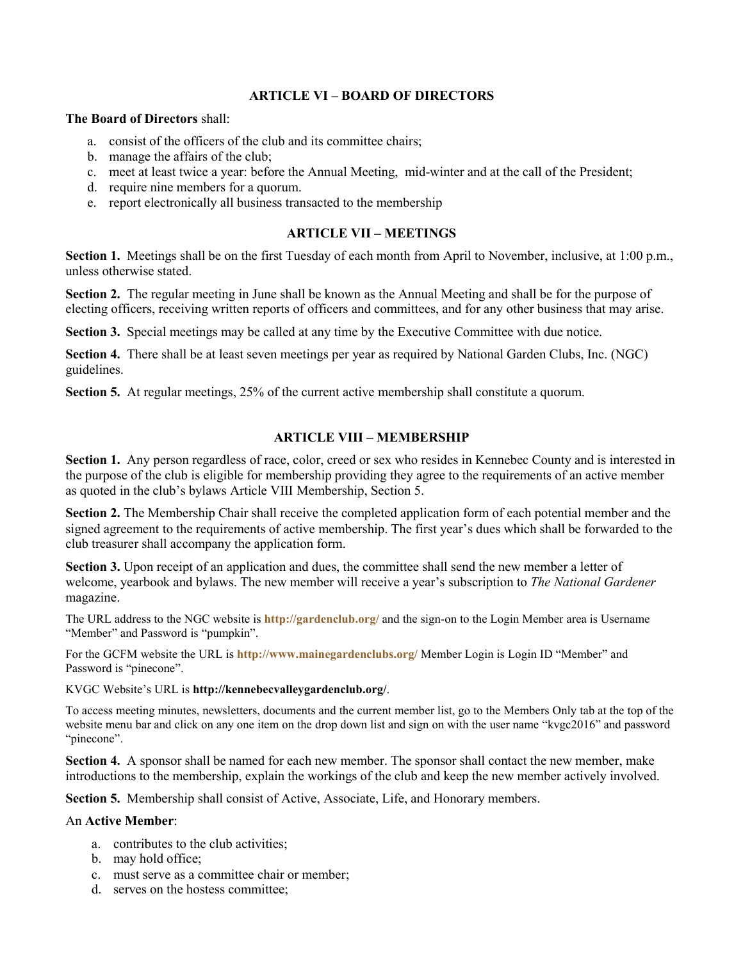### **ARTICLE VI – BOARD OF DIRECTORS**

#### **The Board of Directors** shall:

- a. consist of the officers of the club and its committee chairs;
- b. manage the affairs of the club;
- c. meet at least twice a year: before the Annual Meeting, mid-winter and at the call of the President;
- d. require nine members for a quorum.
- e. report electronically all business transacted to the membership

# **ARTICLE VII – MEETINGS**

**Section 1.** Meetings shall be on the first Tuesday of each month from April to November, inclusive, at 1:00 p.m., unless otherwise stated.

**Section 2.** The regular meeting in June shall be known as the Annual Meeting and shall be for the purpose of electing officers, receiving written reports of officers and committees, and for any other business that may arise.

**Section 3.** Special meetings may be called at any time by the Executive Committee with due notice.

**Section 4.** There shall be at least seven meetings per year as required by National Garden Clubs, Inc. (NGC) guidelines.

**Section 5.** At regular meetings, 25% of the current active membership shall constitute a quorum.

# **ARTICLE VIII – MEMBERSHIP**

Section 1. Any person regardless of race, color, creed or sex who resides in Kennebec County and is interested in the purpose of the club is eligible for membership providing they agree to the requirements of an active member as quoted in the club's bylaws Article VIII Membership, Section 5.

**Section 2.** The Membership Chair shall receive the completed application form of each potential member and the signed agreement to the requirements of active membership. The first year's dues which shall be forwarded to the club treasurer shall accompany the application form.

**Section 3.** Upon receipt of an application and dues, the committee shall send the new member a letter of welcome, yearbook and bylaws. The new member will receive a year's subscription to *The National Gardener* magazine.

The URL address to the NGC website is **http://gardenclub.org/** and the sign-on to the Login Member area is Username "Member" and Password is "pumpkin".

For the GCFM website the URL is **http://www.mainegardenclubs.org/** Member Login is Login ID "Member" and Password is "pinecone".

KVGC Website's URL is **http://kennebecvalleygardenclub.org/**.

To access meeting minutes, newsletters, documents and the current member list, go to the Members Only tab at the top of the website menu bar and click on any one item on the drop down list and sign on with the user name "kvgc2016" and password "pinecone".

**Section 4.** A sponsor shall be named for each new member. The sponsor shall contact the new member, make introductions to the membership, explain the workings of the club and keep the new member actively involved.

**Section 5.** Membership shall consist of Active, Associate, Life, and Honorary members.

#### An **Active Member**:

- a. contributes to the club activities;
- b. may hold office;
- c. must serve as a committee chair or member;
- d. serves on the hostess committee;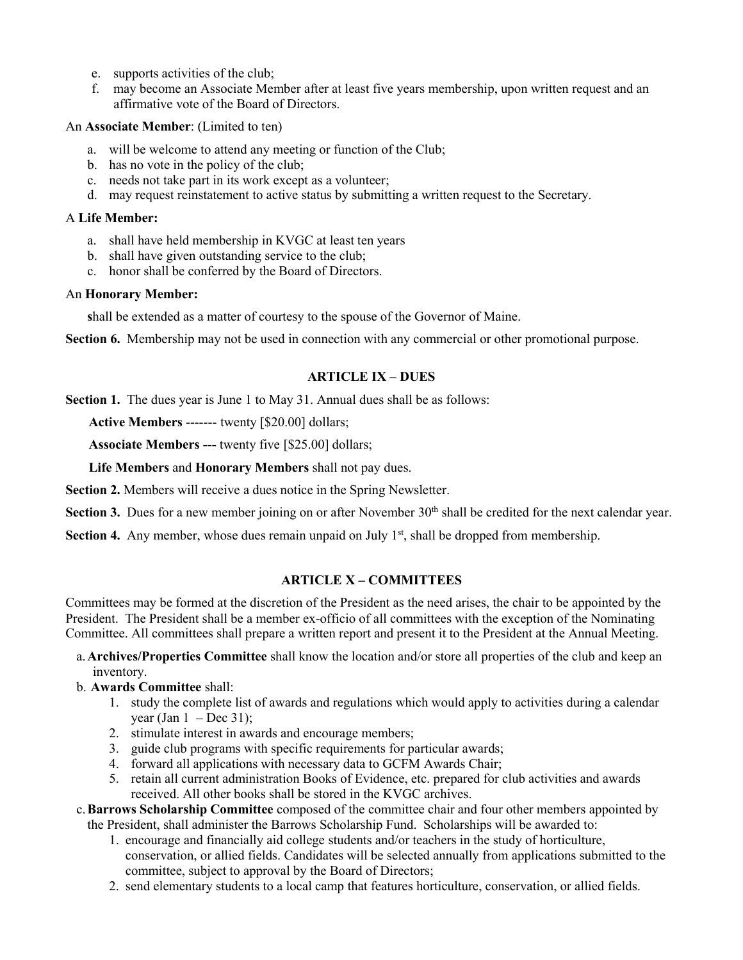- e. supports activities of the club;
- f. may become an Associate Member after at least five years membership, upon written request and an affirmative vote of the Board of Directors.

# An **Associate Member**: (Limited to ten)

- a. will be welcome to attend any meeting or function of the Club;
- b. has no vote in the policy of the club;
- c. needs not take part in its work except as a volunteer;
- d. may request reinstatement to active status by submitting a written request to the Secretary.

### A **Life Member:**

- a. shall have held membership in KVGC at least ten years
- b. shall have given outstanding service to the club;
- c. honor shall be conferred by the Board of Directors.

# An **Honorary Member:**

**s**hall be extended as a matter of courtesy to the spouse of the Governor of Maine.

**Section 6.** Membership may not be used in connection with any commercial or other promotional purpose.

# **ARTICLE IX – DUES**

**Section 1.** The dues year is June 1 to May 31. Annual dues shall be as follows:

**Active Members** ------- twenty [\$20.00] dollars;

**Associate Members ---** twenty five [\$25.00] dollars;

**Life Members** and **Honorary Members** shallnot pay dues.

**Section 2.** Members will receive a dues notice in the Spring Newsletter.

Section 3. Dues for a new member joining on or after November 30<sup>th</sup> shall be credited for the next calendar year.

Section 4. Any member, whose dues remain unpaid on July 1<sup>st</sup>, shall be dropped from membership.

# **ARTICLE X – COMMITTEES**

Committees may be formed at the discretion of the President as the need arises, the chair to be appointed by the President. The President shall be a member ex-officio of all committees with the exception of the Nominating Committee. All committees shall prepare a written report and present it to the President at the Annual Meeting.

a.**Archives/Properties Committee** shall know the location and/or store all properties of the club and keep an inventory.

# b. **Awards Committee** shall:

- 1. study the complete list of awards and regulations which would apply to activities during a calendar year (Jan  $1 - Dec 31$ );
- 2. stimulate interest in awards and encourage members;
- 3. guide club programs with specific requirements for particular awards;
- 4. forward all applications with necessary data to GCFM Awards Chair;
- 5. retain all current administration Books of Evidence, etc. prepared for club activities and awards received. All other books shall be stored in the KVGC archives.
- c.**Barrows Scholarship Committee** composed of the committee chair and four other members appointed by the President, shall administer the Barrows Scholarship Fund. Scholarships will be awarded to:
	- 1. encourage and financially aid college students and/or teachers in the study of horticulture, conservation, or allied fields. Candidates will be selected annually from applications submitted to the committee, subject to approval by the Board of Directors;
	- 2. send elementary students to a local camp that features horticulture, conservation, or allied fields.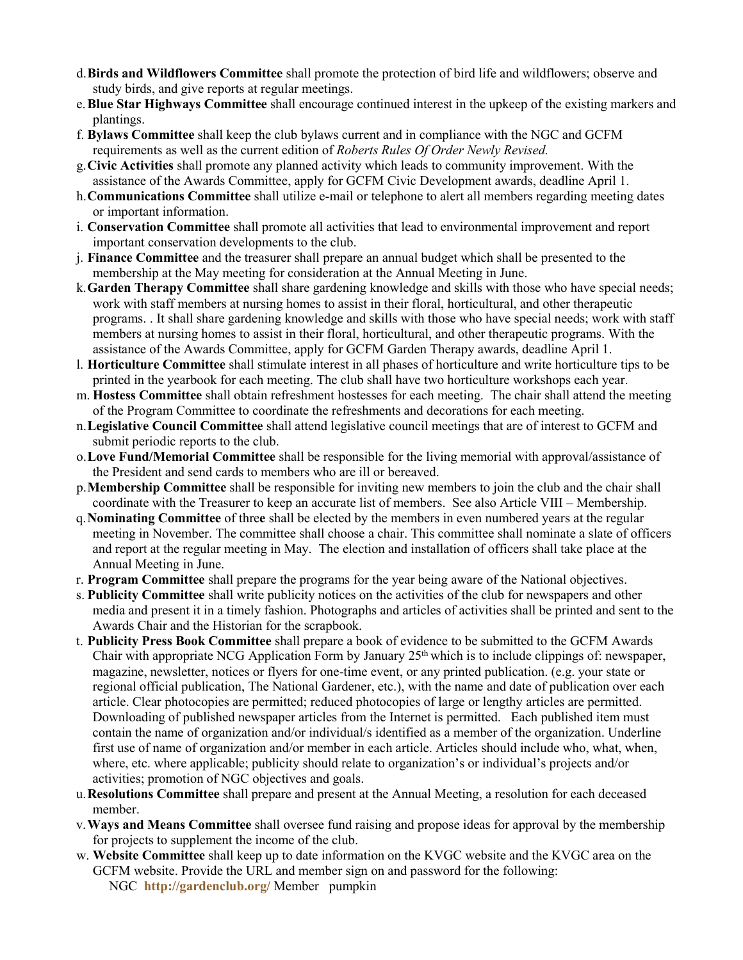- d.**Birds and Wildflowers Committee** shall promote the protection of bird life and wildflowers; observe and study birds, and give reports at regular meetings.
- e.**Blue Star Highways Committee** shall encourage continued interest in the upkeep of the existing markers and plantings.
- f. **Bylaws Committee** shall keep the club bylaws current and in compliance with the NGC and GCFM requirements as well as the current edition of *Roberts Rules Of Order Newly Revised.*
- g. Civic Activities shall promote any planned activity which leads to community improvement. With the assistance of the Awards Committee, apply for GCFM Civic Development awards, deadline April 1.
- h.**Communications Committee** shall utilize e-mail or telephone to alert all members regarding meeting dates or important information.
- i. **Conservation Committee** shall promote all activities that lead to environmental improvement and report important conservation developments to the club.
- j. **Finance Committee** and the treasurer shall prepare an annual budget which shall be presented to the membership at the May meeting for consideration at the Annual Meeting in June.
- k.**Garden Therapy Committee** shall share gardening knowledge and skills with those who have special needs; work with staff members at nursing homes to assist in their floral, horticultural, and other therapeutic programs. . It shall share gardening knowledge and skills with those who have special needs; work with staff members at nursing homes to assist in their floral, horticultural, and other therapeutic programs. With the assistance of the Awards Committee, apply for GCFM Garden Therapy awards, deadline April 1.
- l. **Horticulture Committee** shall stimulate interestin all phases ofhorticulture and write horticulture tips to be printed in the yearbook for each meeting. The club shall have two horticulture workshops each year.
- m. **Hostess Committee** shall obtain refreshment hostesses for each meeting. The chair shall attend the meeting of the Program Committee to coordinate the refreshments and decorations for each meeting.
- n.**Legislative Council Committee** shall attend legislative councilmeetings that are of interest to GCFM and submit periodic reports to the club.
- o.**Love Fund/Memorial Committee** shall be responsible for the living memorial with approval/assistance of the President and send cards to members who are ill or bereaved.
- p.**Membership Committee** shall be responsible for inviting new members to join the club and the chair shall coordinate with the Treasurer to keep an accurate list of members. See also Article VIII – Membership.
- q.**Nominating Committee** of thre**e** shall be elected by the members in even numbered years at the regular meeting in November. The committee shall choose a chair. This committee shall nominate a slate of officers and report at the regular meeting in May. The election and installation of officers shall take place at the Annual Meeting in June.
- r. **Program Committee** shall prepare the programs for the year being aware of the National objectives.
- s. **Publicity Committee** shall write publicity notices on the activities ofthe club for newspapers and other media and present it in a timely fashion. Photographs and articles of activities shall be printed and sent to the Awards Chair and the Historian for the scrapbook.
- t. **Publicity Press Book Committee** shall prepare a book of evidence to be submitted to the GCFM Awards Chair with appropriate NCG Application Form by January  $25<sup>th</sup>$  which is to include clippings of: newspaper, magazine, newsletter, notices or flyers for one-time event, or any printed publication. (e.g. your state or regional official publication, The National Gardener, etc.), with the name and date of publication over each article. Clear photocopies are permitted; reduced photocopies oflarge or lengthy articles are permitted. Downloading of published newspaper articles from the Internet is permitted. Each published item must contain the name of organization and/or individual/s identified as a member of the organization. Underline first use of name of organization and/or member in each article. Articles should include who, what, when, where, etc. where applicable; publicity should relate to organization's or individual's projects and/or activities; promotion of NGC objectives and goals.
- u.**Resolutions Committee** shall prepare and present at the Annual Meeting, a resolution for each deceased member.
- v.**Ways and Means Committee** shall oversee fund raising and propose ideas for approval by the membership for projects to supplement the income of the club.
- w. **Website Committee** shall keep up to date information on the KVGC website and the KVGC area onthe GCFM website. Provide the URL and member sign on and password for the following: NGC **http://gardenclub.org/** Member pumpkin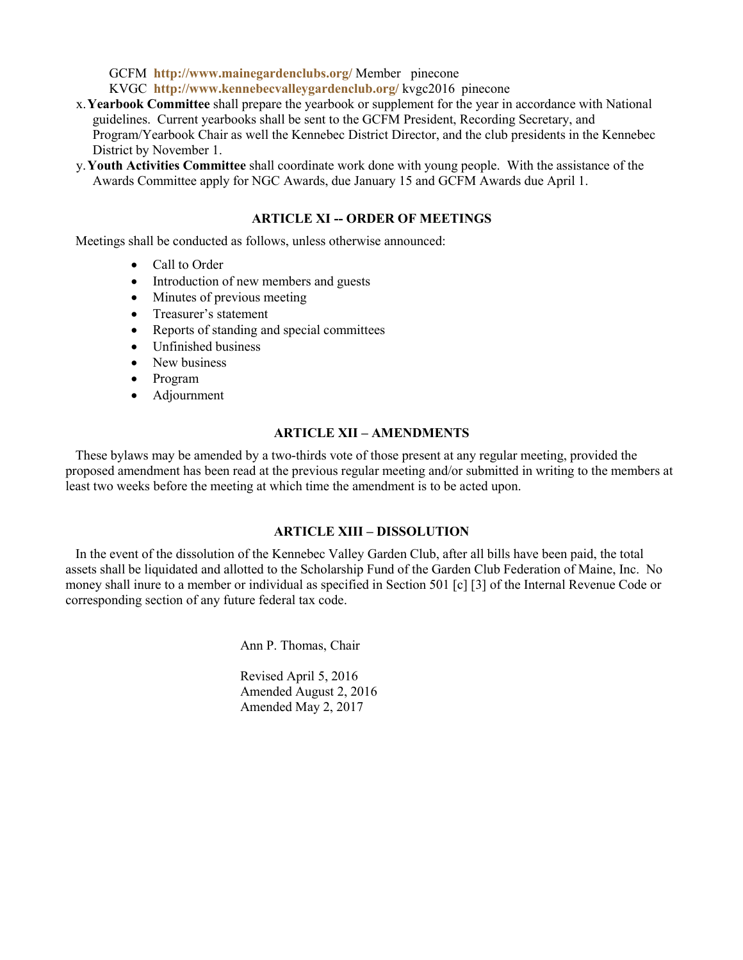GCFM **http://www.mainegardenclubs.org/** Member pinecone KVGC **http://www.kennebecvalleygardenclub.org/** kvgc2016 pinecone

- x.**Yearbook Committee** shall prepare the yearbook or supplement for the year in accordance with National guidelines. Current yearbooks shall be sent to the GCFM President, Recording Secretary, and Program/Yearbook Chair as well the Kennebec District Director, and the club presidents in the Kennebec District by November 1.
- y.**Youth Activities Committee** shall coordinate work done with young people. With the assistance of the Awards Committee apply for NGC Awards, due January 15 and GCFM Awards due April 1.

### **ARTICLE XI -- ORDER OF MEETINGS**

Meetings shall be conducted as follows, unless otherwise announced:

- Call to Order
- Introduction of new members and guests
- $\bullet$  Minutes of previous meeting
- Treasurer's statement
- Reports of standing and special committees
- Unfinished business
- New business
- Program
- Adjournment

### **ARTICLE XII – AMENDMENTS**

These bylaws may be amended by a two-thirds vote of those present at any regular meeting, provided the proposed amendment has been read at the previous regular meeting and/or submitted in writing to the members at least two weeks before the meeting at which time the amendment is to be acted upon.

#### **ARTICLE XIII – DISSOLUTION**

In the event of the dissolution of the Kennebec Valley Garden Club, after all bills have been paid, the total assets shall be liquidated and allotted to the Scholarship Fund of the Garden Club Federation of Maine, Inc. No money shall inure to a member or individual as specified in Section 501 [c] [3] of the Internal Revenue Code or corresponding section of any future federal tax code.

Ann P. Thomas, Chair

Revised April 5, 2016 Amended August 2, 2016 Amended May 2, 2017